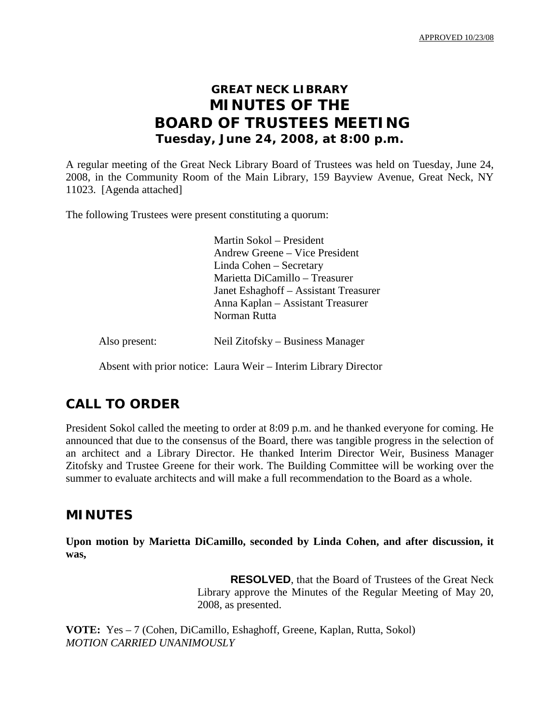APPROVED 10/23/08

# **GREAT NECK LIBRARY MINUTES OF THE BOARD OF TRUSTEES MEETING Tuesday, June 24, 2008, at 8:00 p.m.**

A regular meeting of the Great Neck Library Board of Trustees was held on Tuesday, June 24, 2008, in the Community Room of the Main Library, 159 Bayview Avenue, Great Neck, NY 11023. [Agenda attached]

The following Trustees were present constituting a quorum:

Martin Sokol – President Andrew Greene – Vice President Linda Cohen – Secretary Marietta DiCamillo – Treasurer Janet Eshaghoff – Assistant Treasurer Anna Kaplan – Assistant Treasurer Norman Rutta

Also present: Neil Zitofsky – Business Manager

Absent with prior notice: Laura Weir – Interim Library Director

### **CALL TO ORDER**

President Sokol called the meeting to order at 8:09 p.m. and he thanked everyone for coming. He announced that due to the consensus of the Board, there was tangible progress in the selection of an architect and a Library Director. He thanked Interim Director Weir, Business Manager Zitofsky and Trustee Greene for their work. The Building Committee will be working over the summer to evaluate architects and will make a full recommendation to the Board as a whole.

### **MINUTES**

**Upon motion by Marietta DiCamillo, seconded by Linda Cohen, and after discussion, it was,**

> **RESOLVED**, that the Board of Trustees of the Great Neck Library approve the Minutes of the Regular Meeting of May 20, 2008, as presented.

**VOTE:** Yes – 7 (Cohen, DiCamillo, Eshaghoff, Greene, Kaplan, Rutta, Sokol) *MOTION CARRIED UNANIMOUSLY*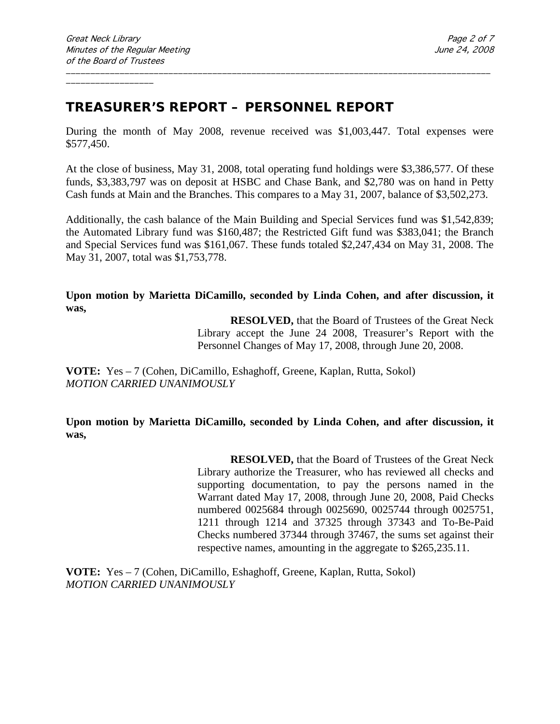# **TREASURER'S REPORT – PERSONNEL REPORT**

During the month of May 2008, revenue received was \$1,003,447. Total expenses were \$577,450.

\_\_\_\_\_\_\_\_\_\_\_\_\_\_\_\_\_\_\_\_\_\_\_\_\_\_\_\_\_\_\_\_\_\_\_\_\_\_\_\_\_\_\_\_\_\_\_\_\_\_\_\_\_\_\_\_\_\_\_\_\_\_\_\_\_\_\_\_\_\_\_\_\_\_\_\_\_\_\_\_\_\_\_\_\_\_\_

At the close of business, May 31, 2008, total operating fund holdings were \$3,386,577. Of these funds, \$3,383,797 was on deposit at HSBC and Chase Bank, and \$2,780 was on hand in Petty Cash funds at Main and the Branches. This compares to a May 31, 2007, balance of \$3,502,273.

Additionally, the cash balance of the Main Building and Special Services fund was \$1,542,839; the Automated Library fund was \$160,487; the Restricted Gift fund was \$383,041; the Branch and Special Services fund was \$161,067. These funds totaled \$2,247,434 on May 31, 2008. The May 31, 2007, total was \$1,753,778.

**Upon motion by Marietta DiCamillo, seconded by Linda Cohen, and after discussion, it was,**

> **RESOLVED,** that the Board of Trustees of the Great Neck Library accept the June 24 2008, Treasurer's Report with the Personnel Changes of May 17, 2008, through June 20, 2008.

**VOTE:** Yes – 7 (Cohen, DiCamillo, Eshaghoff, Greene, Kaplan, Rutta, Sokol) *MOTION CARRIED UNANIMOUSLY*

**Upon motion by Marietta DiCamillo, seconded by Linda Cohen, and after discussion, it was,**

> **RESOLVED,** that the Board of Trustees of the Great Neck Library authorize the Treasurer, who has reviewed all checks and supporting documentation, to pay the persons named in the Warrant dated May 17, 2008, through June 20, 2008, Paid Checks numbered 0025684 through 0025690, 0025744 through 0025751, 1211 through 1214 and 37325 through 37343 and To-Be-Paid Checks numbered 37344 through 37467, the sums set against their respective names, amounting in the aggregate to \$265,235.11.

**VOTE:** Yes – 7 (Cohen, DiCamillo, Eshaghoff, Greene, Kaplan, Rutta, Sokol) *MOTION CARRIED UNANIMOUSLY*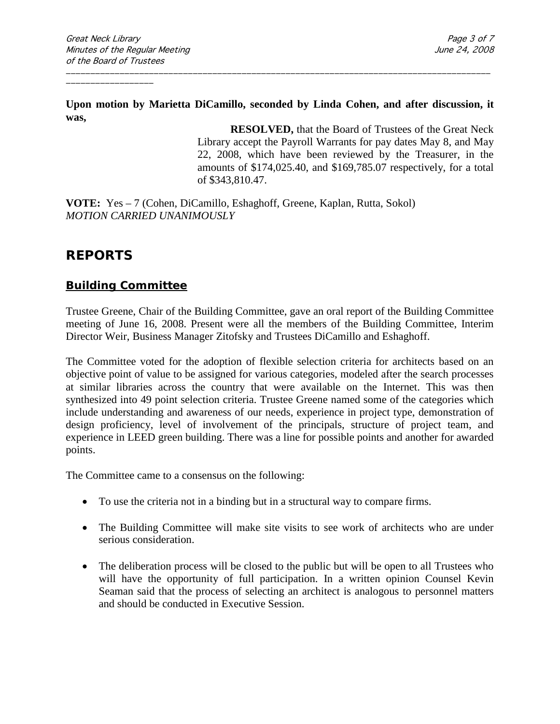**Upon motion by Marietta DiCamillo, seconded by Linda Cohen, and after discussion, it was,**

\_\_\_\_\_\_\_\_\_\_\_\_\_\_\_\_\_\_\_\_\_\_\_\_\_\_\_\_\_\_\_\_\_\_\_\_\_\_\_\_\_\_\_\_\_\_\_\_\_\_\_\_\_\_\_\_\_\_\_\_\_\_\_\_\_\_\_\_\_\_\_\_\_\_\_\_\_\_\_\_\_\_\_\_\_\_\_

**RESOLVED,** that the Board of Trustees of the Great Neck Library accept the Payroll Warrants for pay dates May 8, and May 22, 2008, which have been reviewed by the Treasurer, in the amounts of \$174,025.40, and \$169,785.07 respectively, for a total of \$343,810.47.

**VOTE:** Yes – 7 (Cohen, DiCamillo, Eshaghoff, Greene, Kaplan, Rutta, Sokol) *MOTION CARRIED UNANIMOUSLY*

## **REPORTS**

### **Building Committee**

Trustee Greene, Chair of the Building Committee, gave an oral report of the Building Committee meeting of June 16, 2008. Present were all the members of the Building Committee, Interim Director Weir, Business Manager Zitofsky and Trustees DiCamillo and Eshaghoff.

The Committee voted for the adoption of flexible selection criteria for architects based on an objective point of value to be assigned for various categories, modeled after the search processes at similar libraries across the country that were available on the Internet. This was then synthesized into 49 point selection criteria. Trustee Greene named some of the categories which include understanding and awareness of our needs, experience in project type, demonstration of design proficiency, level of involvement of the principals, structure of project team, and experience in LEED green building. There was a line for possible points and another for awarded points.

The Committee came to a consensus on the following:

- To use the criteria not in a binding but in a structural way to compare firms.
- The Building Committee will make site visits to see work of architects who are under serious consideration.
- The deliberation process will be closed to the public but will be open to all Trustees who will have the opportunity of full participation. In a written opinion Counsel Kevin Seaman said that the process of selecting an architect is analogous to personnel matters and should be conducted in Executive Session.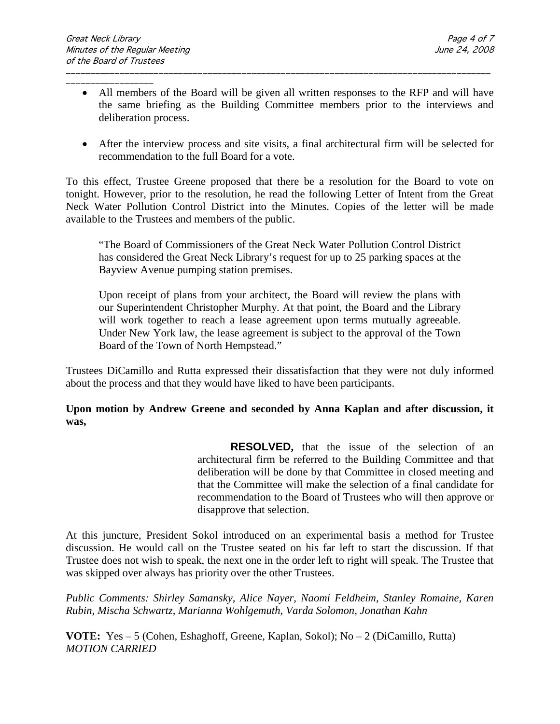\_\_\_\_\_\_\_\_\_\_\_\_\_\_\_\_\_\_ • All members of the Board will be given all written responses to the RFP and will have the same briefing as the Building Committee members prior to the interviews and deliberation process.

\_\_\_\_\_\_\_\_\_\_\_\_\_\_\_\_\_\_\_\_\_\_\_\_\_\_\_\_\_\_\_\_\_\_\_\_\_\_\_\_\_\_\_\_\_\_\_\_\_\_\_\_\_\_\_\_\_\_\_\_\_\_\_\_\_\_\_\_\_\_\_\_\_\_\_\_\_\_\_\_\_\_\_\_\_\_\_

• After the interview process and site visits, a final architectural firm will be selected for recommendation to the full Board for a vote.

To this effect, Trustee Greene proposed that there be a resolution for the Board to vote on tonight. However, prior to the resolution, he read the following Letter of Intent from the Great Neck Water Pollution Control District into the Minutes. Copies of the letter will be made available to the Trustees and members of the public.

"The Board of Commissioners of the Great Neck Water Pollution Control District has considered the Great Neck Library's request for up to 25 parking spaces at the Bayview Avenue pumping station premises.

Upon receipt of plans from your architect, the Board will review the plans with our Superintendent Christopher Murphy. At that point, the Board and the Library will work together to reach a lease agreement upon terms mutually agreeable. Under New York law, the lease agreement is subject to the approval of the Town Board of the Town of North Hempstead."

Trustees DiCamillo and Rutta expressed their dissatisfaction that they were not duly informed about the process and that they would have liked to have been participants.

#### **Upon motion by Andrew Greene and seconded by Anna Kaplan and after discussion, it was,**

**RESOLVED,** that the issue of the selection of an architectural firm be referred to the Building Committee and that deliberation will be done by that Committee in closed meeting and that the Committee will make the selection of a final candidate for recommendation to the Board of Trustees who will then approve or disapprove that selection.

At this juncture, President Sokol introduced on an experimental basis a method for Trustee discussion. He would call on the Trustee seated on his far left to start the discussion. If that Trustee does not wish to speak, the next one in the order left to right will speak. The Trustee that was skipped over always has priority over the other Trustees.

*Public Comments: Shirley Samansky, Alice Nayer, Naomi Feldheim, Stanley Romaine, Karen Rubin, Mischa Schwartz, Marianna Wohlgemuth, Varda Solomon, Jonathan Kahn*

**VOTE:** Yes – 5 (Cohen, Eshaghoff, Greene, Kaplan, Sokol); No – 2 (DiCamillo, Rutta) *MOTION CARRIED*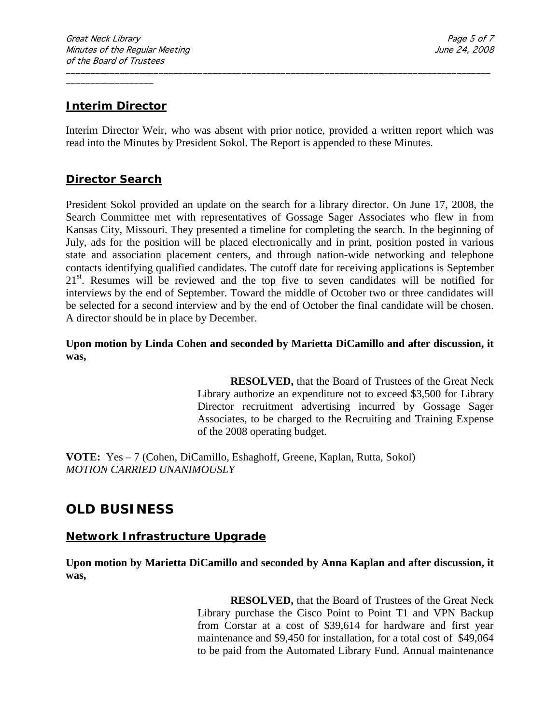#### **Interim Director**

Interim Director Weir, who was absent with prior notice, provided a written report which was read into the Minutes by President Sokol. The Report is appended to these Minutes.

\_\_\_\_\_\_\_\_\_\_\_\_\_\_\_\_\_\_\_\_\_\_\_\_\_\_\_\_\_\_\_\_\_\_\_\_\_\_\_\_\_\_\_\_\_\_\_\_\_\_\_\_\_\_\_\_\_\_\_\_\_\_\_\_\_\_\_\_\_\_\_\_\_\_\_\_\_\_\_\_\_\_\_\_\_\_\_

#### **Director Search**

President Sokol provided an update on the search for a library director. On June 17, 2008, the Search Committee met with representatives of Gossage Sager Associates who flew in from Kansas City, Missouri. They presented a timeline for completing the search. In the beginning of July, ads for the position will be placed electronically and in print, position posted in various state and association placement centers, and through nation-wide networking and telephone contacts identifying qualified candidates. The cutoff date for receiving applications is September 21<sup>st</sup>. Resumes will be reviewed and the top five to seven candidates will be notified for interviews by the end of September. Toward the middle of October two or three candidates will be selected for a second interview and by the end of October the final candidate will be chosen. A director should be in place by December.

**Upon motion by Linda Cohen and seconded by Marietta DiCamillo and after discussion, it was,**

> **RESOLVED,** that the Board of Trustees of the Great Neck Library authorize an expenditure not to exceed \$3,500 for Library Director recruitment advertising incurred by Gossage Sager Associates, to be charged to the Recruiting and Training Expense of the 2008 operating budget.

**VOTE:** Yes – 7 (Cohen, DiCamillo, Eshaghoff, Greene, Kaplan, Rutta, Sokol) *MOTION CARRIED UNANIMOUSLY*

## **OLD BUSINESS**

#### **Network Infrastructure Upgrade**

**Upon motion by Marietta DiCamillo and seconded by Anna Kaplan and after discussion, it was,**

> **RESOLVED,** that the Board of Trustees of the Great Neck Library purchase the Cisco Point to Point T1 and VPN Backup from Corstar at a cost of \$39,614 for hardware and first year maintenance and \$9,450 for installation, for a total cost of \$49,064 to be paid from the Automated Library Fund. Annual maintenance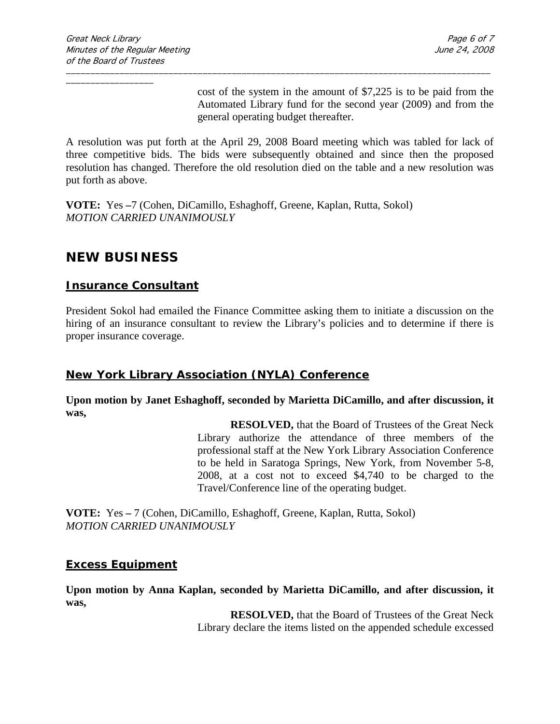cost of the system in the amount of \$7,225 is to be paid from the Automated Library fund for the second year (2009) and from the general operating budget thereafter.

A resolution was put forth at the April 29, 2008 Board meeting which was tabled for lack of three competitive bids. The bids were subsequently obtained and since then the proposed resolution has changed. Therefore the old resolution died on the table and a new resolution was put forth as above.

\_\_\_\_\_\_\_\_\_\_\_\_\_\_\_\_\_\_\_\_\_\_\_\_\_\_\_\_\_\_\_\_\_\_\_\_\_\_\_\_\_\_\_\_\_\_\_\_\_\_\_\_\_\_\_\_\_\_\_\_\_\_\_\_\_\_\_\_\_\_\_\_\_\_\_\_\_\_\_\_\_\_\_\_\_\_\_

**VOTE:** Yes **–**7 (Cohen, DiCamillo, Eshaghoff, Greene, Kaplan, Rutta, Sokol) *MOTION CARRIED UNANIMOUSLY*

## **NEW BUSINESS**

#### **Insurance Consultant**

President Sokol had emailed the Finance Committee asking them to initiate a discussion on the hiring of an insurance consultant to review the Library's policies and to determine if there is proper insurance coverage.

#### **New York Library Association (NYLA) Conference**

**Upon motion by Janet Eshaghoff, seconded by Marietta DiCamillo, and after discussion, it was,**

> **RESOLVED,** that the Board of Trustees of the Great Neck Library authorize the attendance of three members of the professional staff at the New York Library Association Conference to be held in Saratoga Springs, New York, from November 5-8, 2008, at a cost not to exceed \$4,740 to be charged to the Travel/Conference line of the operating budget.

**VOTE:** Yes **–** 7 (Cohen, DiCamillo, Eshaghoff, Greene, Kaplan, Rutta, Sokol) *MOTION CARRIED UNANIMOUSLY*

#### **Excess Equipment**

**Upon motion by Anna Kaplan, seconded by Marietta DiCamillo, and after discussion, it was,**

> **RESOLVED,** that the Board of Trustees of the Great Neck Library declare the items listed on the appended schedule excessed